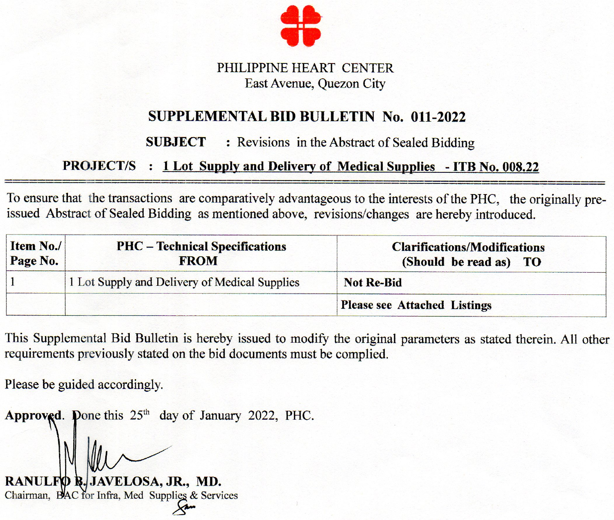

## PHILIPPINE HEART CENTER East Avenue, Quezon City

# **SUPPLEMENTAL BID BULLETIN No. 011-2022**

#### **SUBJECT** : Revisions in the Abstract of Sealed Bidding

## **PROJECT/S** : 1 Lot Supply and Delivery of Medical Supplies - ITB No. 008.22

To ensure that the transactions are comparatively advantageous to the interests of the PHC, the originally preissued Abstract of Sealed Bidding as mentioned above, revisions/changes are hereby introduced.

| Item No./<br>Page No. | <b>PHC</b> – Technical Specifications<br><b>FROM</b> | <b>Clarifications/Modifications</b><br>(Should be read as) TO |
|-----------------------|------------------------------------------------------|---------------------------------------------------------------|
|                       | 1 Lot Supply and Delivery of Medical Supplies        | <b>Not Re-Bid</b>                                             |
|                       |                                                      | <b>Please see Attached Listings</b>                           |

This Supplemental Bid Bulletin is hereby issued to modify the original parameters as stated therein. All other requirements previously stated on the bid documents must be complied.

Please be guided accordingly.

**Approved.** Done this  $25<sup>th</sup>$  day of January 2022, PHC.

**RANULFO B.** JAVELOSA, JR., MD. Chairman, BAC for Infra, Med Supplies & Services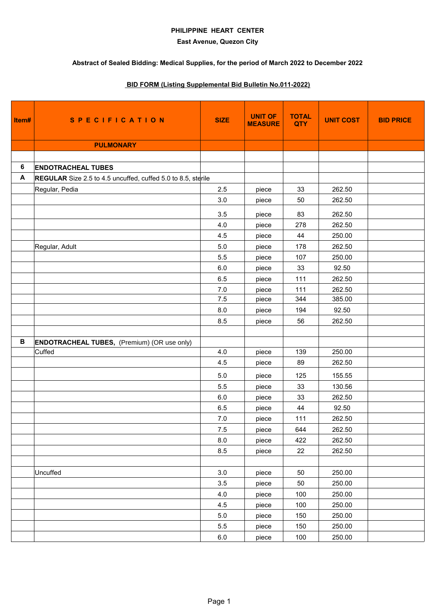### **PHILIPPINE HEART CENTER**

### **East Avenue, Quezon City**

# **Abstract of Sealed Bidding: Medical Supplies, for the period of March 2022 to December 2022**

# **BID FORM (Listing Supplemental Bid Bulletin No.011-2022)**

| Item#        | <b>SPECIFICATION</b>                                         | <b>SIZE</b> | <b>UNIT OF</b><br><b>MEASURE</b> | <b>TOTAL</b><br><b>QTY</b> | <b>UNIT COST</b> | <b>BID PRICE</b> |
|--------------|--------------------------------------------------------------|-------------|----------------------------------|----------------------------|------------------|------------------|
|              | <b>PULMONARY</b>                                             |             |                                  |                            |                  |                  |
|              |                                                              |             |                                  |                            |                  |                  |
| 6            | <b>ENDOTRACHEAL TUBES</b>                                    |             |                                  |                            |                  |                  |
| A            | REGULAR Size 2.5 to 4.5 uncuffed, cuffed 5.0 to 8.5, sterile |             |                                  |                            |                  |                  |
|              | Regular, Pedia                                               | 2.5         | piece                            | 33                         | 262.50           |                  |
|              |                                                              | 3.0         | piece                            | 50                         | 262.50           |                  |
|              |                                                              | 3.5         | piece                            | 83                         | 262.50           |                  |
|              |                                                              | 4.0         | piece                            | 278                        | 262.50           |                  |
|              |                                                              | 4.5         | piece                            | 44                         | 250.00           |                  |
|              | Regular, Adult                                               | 5.0         | piece                            | 178                        | 262.50           |                  |
|              |                                                              | 5.5         | piece                            | 107                        | 250.00           |                  |
|              |                                                              | $6.0\,$     | piece                            | 33                         | 92.50            |                  |
|              |                                                              | 6.5         | piece                            | 111                        | 262.50           |                  |
|              |                                                              | 7.0         | piece                            | 111                        | 262.50           |                  |
|              |                                                              | 7.5         | piece                            | 344                        | 385.00           |                  |
|              |                                                              | 8.0         | piece                            | 194                        | 92.50            |                  |
|              |                                                              | 8.5         | piece                            | 56                         | 262.50           |                  |
|              |                                                              |             |                                  |                            |                  |                  |
| $\, {\bf B}$ | <b>ENDOTRACHEAL TUBES, (Premium) (OR use only)</b>           |             |                                  |                            |                  |                  |
|              | Cuffed                                                       | 4.0         | piece                            | 139                        | 250.00           |                  |
|              |                                                              | 4.5         | piece                            | 89                         | 262.50           |                  |
|              |                                                              | 5.0         | piece                            | 125                        | 155.55           |                  |
|              |                                                              | 5.5         | piece                            | 33                         | 130.56           |                  |
|              |                                                              | 6.0         | piece                            | 33                         | 262.50           |                  |
|              |                                                              | 6.5         | piece                            | 44                         | 92.50            |                  |
|              |                                                              | 7.0         | piece                            | 111                        | 262.50           |                  |
|              |                                                              | 7.5         | piece                            | 644                        | 262.50           |                  |
|              |                                                              | 8.0         | piece                            | 422                        | 262.50           |                  |
|              |                                                              | 8.5         | piece                            | 22                         | 262.50           |                  |
|              |                                                              |             |                                  |                            |                  |                  |
|              | Uncuffed                                                     | 3.0         | piece                            | 50                         | 250.00           |                  |
|              |                                                              | 3.5         | piece                            | 50                         | 250.00           |                  |
|              |                                                              | 4.0         | piece                            | 100                        | 250.00           |                  |
|              |                                                              | 4.5         | piece                            | 100                        | 250.00           |                  |
|              |                                                              | 5.0         | piece                            | 150                        | 250.00           |                  |
|              |                                                              | 5.5         | piece                            | 150                        | 250.00           |                  |
|              |                                                              | 6.0         | piece                            | 100                        | 250.00           |                  |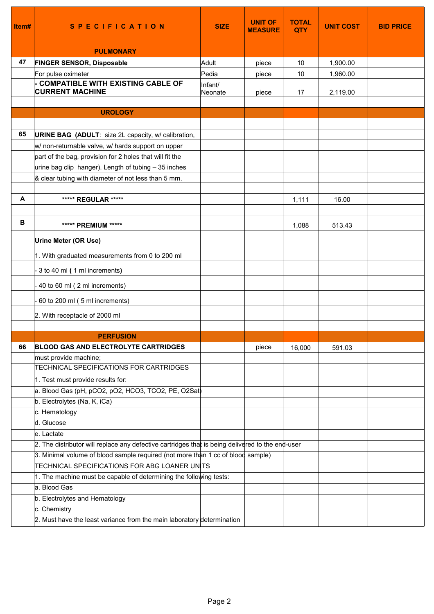| ltem# | <b>SPECIFICATION</b>                                                                                             | <b>SIZE</b>        | <b>UNIT OF</b><br><b>MEASURE</b> | <b>TOTAL</b><br><b>QTY</b> | <b>UNIT COST</b> | <b>BID PRICE</b> |
|-------|------------------------------------------------------------------------------------------------------------------|--------------------|----------------------------------|----------------------------|------------------|------------------|
|       | <b>PULMONARY</b>                                                                                                 |                    |                                  |                            |                  |                  |
| 47    | <b>FINGER SENSOR, Disposable</b>                                                                                 | Adult              | piece                            | 10                         | 1,900.00         |                  |
|       | For pulse oximeter                                                                                               | Pedia              | piece                            | 10                         | 1,960.00         |                  |
|       | - COMPATIBLE WITH EXISTING CABLE OF<br><b>CURRENT MACHINE</b>                                                    | Infant/<br>Neonate | piece                            | 17                         | 2,119.00         |                  |
|       |                                                                                                                  |                    |                                  |                            |                  |                  |
|       | <b>UROLOGY</b>                                                                                                   |                    |                                  |                            |                  |                  |
| 65    |                                                                                                                  |                    |                                  |                            |                  |                  |
|       | <b>URINE BAG (ADULT: size 2L capacity, w/ calibration,</b>                                                       |                    |                                  |                            |                  |                  |
|       | w/ non-returnable valve, w/ hards support on upper                                                               |                    |                                  |                            |                  |                  |
|       | part of the bag, provision for 2 holes that will fit the<br>urine bag clip hanger). Length of tubing - 35 inches |                    |                                  |                            |                  |                  |
|       | & clear tubing with diameter of not less than 5 mm.                                                              |                    |                                  |                            |                  |                  |
|       |                                                                                                                  |                    |                                  |                            |                  |                  |
| А     | ***** REGULAR *****                                                                                              |                    |                                  | 1,111                      | 16.00            |                  |
|       |                                                                                                                  |                    |                                  |                            |                  |                  |
| в     | ***** PREMIUM *****                                                                                              |                    |                                  | 1,088                      | 513.43           |                  |
|       | <b>Urine Meter (OR Use)</b>                                                                                      |                    |                                  |                            |                  |                  |
|       | 1. With graduated measurements from 0 to 200 ml                                                                  |                    |                                  |                            |                  |                  |
|       |                                                                                                                  |                    |                                  |                            |                  |                  |
|       | 3 to 40 ml (1 ml increments)                                                                                     |                    |                                  |                            |                  |                  |
|       | 40 to 60 ml (2 ml increments)                                                                                    |                    |                                  |                            |                  |                  |
|       | 60 to 200 ml (5 ml increments)                                                                                   |                    |                                  |                            |                  |                  |
|       | 2. With receptacle of 2000 ml                                                                                    |                    |                                  |                            |                  |                  |
|       |                                                                                                                  |                    |                                  |                            |                  |                  |
|       | <b>PERFUSION</b>                                                                                                 |                    |                                  |                            |                  |                  |
| 66    | <b>BLOOD GAS AND ELECTROLYTE CARTRIDGES</b>                                                                      |                    | piece                            | 16,000                     | 591.03           |                  |
|       | must provide machine;                                                                                            |                    |                                  |                            |                  |                  |
|       | TECHNICAL SPECIFICATIONS FOR CARTRIDGES                                                                          |                    |                                  |                            |                  |                  |
|       | 1. Test must provide results for:                                                                                |                    |                                  |                            |                  |                  |
|       | a. Blood Gas (pH, pCO2, pO2, HCO3, TCO2, PE, O2Sat)                                                              |                    |                                  |                            |                  |                  |
|       | b. Electrolytes (Na, K, iCa)                                                                                     |                    |                                  |                            |                  |                  |
|       | c. Hematology<br>d. Glucose                                                                                      |                    |                                  |                            |                  |                  |
|       | e. Lactate                                                                                                       |                    |                                  |                            |                  |                  |
|       | 2. The distributor will replace any defective cartridges that is being delivered to the end-user                 |                    |                                  |                            |                  |                  |
|       | 3. Minimal volume of blood sample required (not more than 1 cc of blood sample)                                  |                    |                                  |                            |                  |                  |
|       | TECHNICAL SPECIFICATIONS FOR ABG LOANER UNITS                                                                    |                    |                                  |                            |                  |                  |
|       | 1. The machine must be capable of determining the following tests:                                               |                    |                                  |                            |                  |                  |
|       | a. Blood Gas                                                                                                     |                    |                                  |                            |                  |                  |
|       | b. Electrolytes and Hematology                                                                                   |                    |                                  |                            |                  |                  |
|       | c. Chemistry                                                                                                     |                    |                                  |                            |                  |                  |
|       | 2. Must have the least variance from the main laboratory determination                                           |                    |                                  |                            |                  |                  |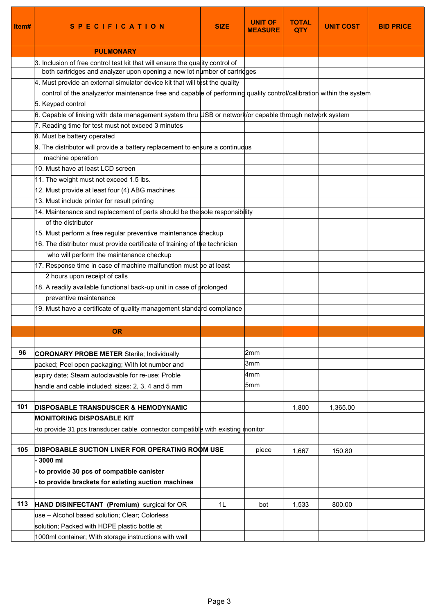| Item# | <b>SPECIFICATION</b>                                                                                                | <b>SIZE</b> | <b>UNIT OF</b><br><b>MEASURE</b> | <b>TOTAL</b><br><b>OTY</b> | <b>UNIT COST</b> | <b>BID PRICE</b> |
|-------|---------------------------------------------------------------------------------------------------------------------|-------------|----------------------------------|----------------------------|------------------|------------------|
|       | <b>PULMONARY</b>                                                                                                    |             |                                  |                            |                  |                  |
|       | 3. Inclusion of free control test kit that will ensure the quality control of                                       |             |                                  |                            |                  |                  |
|       | both cartridges and analyzer upon opening a new lot number of cartridges                                            |             |                                  |                            |                  |                  |
|       | 4. Must provide an external simulator device kit that will test the quality                                         |             |                                  |                            |                  |                  |
|       | control of the analyzer/or maintenance free and capable of performing quality control/calibration within the system |             |                                  |                            |                  |                  |
|       | 5. Keypad control                                                                                                   |             |                                  |                            |                  |                  |
|       | 6. Capable of linking with data management system thru USB or network/or capable through network system             |             |                                  |                            |                  |                  |
|       | 7. Reading time for test must not exceed 3 minutes                                                                  |             |                                  |                            |                  |                  |
|       | 8. Must be battery operated                                                                                         |             |                                  |                            |                  |                  |
|       | 9. The distributor will provide a battery replacement to ensure a continuous                                        |             |                                  |                            |                  |                  |
|       | machine operation                                                                                                   |             |                                  |                            |                  |                  |
|       | 10. Must have at least LCD screen                                                                                   |             |                                  |                            |                  |                  |
|       | 11. The weight must not exceed 1.5 lbs.                                                                             |             |                                  |                            |                  |                  |
|       | 12. Must provide at least four (4) ABG machines                                                                     |             |                                  |                            |                  |                  |
|       | 13. Must include printer for result printing                                                                        |             |                                  |                            |                  |                  |
|       | 14. Maintenance and replacement of parts should be the sole responsibility                                          |             |                                  |                            |                  |                  |
|       | of the distributor                                                                                                  |             |                                  |                            |                  |                  |
|       | 15. Must perform a free regular preventive maintenance checkup                                                      |             |                                  |                            |                  |                  |
|       | 16. The distributor must provide certificate of training of the technician                                          |             |                                  |                            |                  |                  |
|       | who will perform the maintenance checkup                                                                            |             |                                  |                            |                  |                  |
|       | 17. Response time in case of machine malfunction must be at least                                                   |             |                                  |                            |                  |                  |
|       | 2 hours upon receipt of calls                                                                                       |             |                                  |                            |                  |                  |
|       | 18. A readily available functional back-up unit in case of prolonged                                                |             |                                  |                            |                  |                  |
|       | preventive maintenance                                                                                              |             |                                  |                            |                  |                  |
|       | 19. Must have a certificate of quality management standard compliance                                               |             |                                  |                            |                  |                  |
|       |                                                                                                                     |             |                                  |                            |                  |                  |
|       | <b>OR</b>                                                                                                           |             |                                  |                            |                  |                  |
|       |                                                                                                                     |             |                                  |                            |                  |                  |
| 96    | <b>CORONARY PROBE METER Sterile; Individually</b>                                                                   |             | 2mm                              |                            |                  |                  |
|       | packed; Peel open packaging; With lot number and                                                                    |             | 3mm                              |                            |                  |                  |
|       | expiry date; Steam autoclavable for re-use; Proble                                                                  |             | 4mm                              |                            |                  |                  |
|       | handle and cable included; sizes: 2, 3, 4 and 5 mm                                                                  |             | 5 <sub>mm</sub>                  |                            |                  |                  |
|       |                                                                                                                     |             |                                  |                            |                  |                  |
| 101   | <b>DISPOSABLE TRANSDUSCER &amp; HEMODYNAMIC</b>                                                                     |             |                                  | 1,800                      | 1,365.00         |                  |
|       | <b>MONITORING DISPOSABLE KIT</b>                                                                                    |             |                                  |                            |                  |                  |
|       | to provide 31 pcs transducer cable connector compatible with existing monitor                                       |             |                                  |                            |                  |                  |
|       |                                                                                                                     |             |                                  |                            |                  |                  |
| 105   | <b>DISPOSABLE SUCTION LINER FOR OPERATING ROOM USE</b>                                                              |             | piece                            | 1,667                      | 150.80           |                  |
|       | - 3000 ml                                                                                                           |             |                                  |                            |                  |                  |
|       | to provide 30 pcs of compatible canister                                                                            |             |                                  |                            |                  |                  |
|       | to provide brackets for existing suction machines                                                                   |             |                                  |                            |                  |                  |
| 113   | HAND DISINFECTANT (Premium) surgical for OR                                                                         | 1L          | bot                              | 1,533                      | 800.00           |                  |
|       | use - Alcohol based solution; Clear; Colorless                                                                      |             |                                  |                            |                  |                  |
|       | solution; Packed with HDPE plastic bottle at                                                                        |             |                                  |                            |                  |                  |
|       | 1000ml container; With storage instructions with wall                                                               |             |                                  |                            |                  |                  |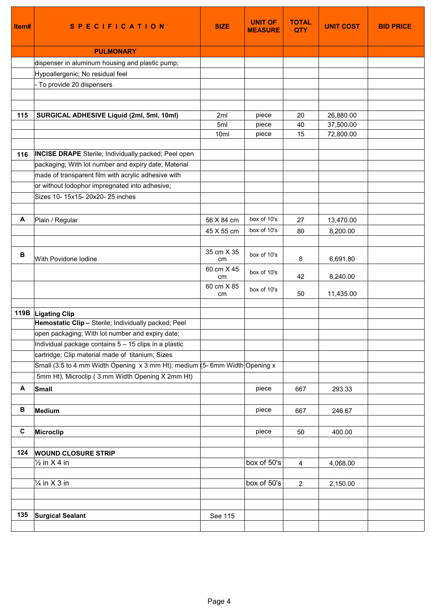| Item# | <b>SPECIFICATION</b>                                                          | <b>SIZE</b>      | <b>UNIT OF</b><br><b>MEASURE</b> | <b>TOTAL</b><br><b>QTY</b> | <b>UNIT COST</b>       | <b>BID PRICE</b> |
|-------|-------------------------------------------------------------------------------|------------------|----------------------------------|----------------------------|------------------------|------------------|
|       | <b>PULMONARY</b>                                                              |                  |                                  |                            |                        |                  |
|       | dispenser in aluminum housing and plastic pump;                               |                  |                                  |                            |                        |                  |
|       | Hypoallergenic; No residual feel                                              |                  |                                  |                            |                        |                  |
|       | - To provide 20 dispensers                                                    |                  |                                  |                            |                        |                  |
|       |                                                                               |                  |                                  |                            |                        |                  |
|       |                                                                               |                  |                                  |                            |                        |                  |
| 115   | SURGICAL ADHESIVE Liquid (2ml, 5ml, 10ml)                                     | 2ml<br>5ml       | piece<br>piece                   | 20<br>40                   | 26,880.00<br>37,500.00 |                  |
|       |                                                                               | 10ml             | piece                            | 15                         | 72,800.00              |                  |
|       |                                                                               |                  |                                  |                            |                        |                  |
| 116   | <b>INCISE DRAPE</b> Sterile; Individually packed; Peel open                   |                  |                                  |                            |                        |                  |
|       | packaging; With lot number and expiry date; Material                          |                  |                                  |                            |                        |                  |
|       | made of transparent film with acrylic adhesive with                           |                  |                                  |                            |                        |                  |
|       | or without lodophor impregnated into adhesive;                                |                  |                                  |                            |                        |                  |
|       | Sizes 10- 15x15- 20x20- 25 inches                                             |                  |                                  |                            |                        |                  |
|       |                                                                               |                  |                                  |                            |                        |                  |
| Α     | Plain / Regular                                                               | 56 X 84 cm       | box of 10's                      | 27                         | 13,470.00              |                  |
|       |                                                                               | 45 X 55 cm       | box of 10's                      | 80                         | 8,200.00               |                  |
|       |                                                                               |                  |                                  |                            |                        |                  |
| В     | With Povidone Iodine                                                          | 35 cm X 35<br>cm | box of 10's                      | 8                          | 6,691.80               |                  |
|       |                                                                               | 60 cm X 45<br>cm | box of 10's                      | 42                         | 8,240.00               |                  |
|       |                                                                               | 60 cm X 85<br>cm | box of 10's                      | 50                         | 11,435.00              |                  |
|       |                                                                               |                  |                                  |                            |                        |                  |
|       | 119B Ligating Clip<br>Hemostatic Clip - Sterile; Individually packed; Peel    |                  |                                  |                            |                        |                  |
|       | open packaging; With lot number and expiry date;                              |                  |                                  |                            |                        |                  |
|       | Individual package contains 5 - 15 clips in a plastic                         |                  |                                  |                            |                        |                  |
|       | cartridge; Clip material made of titanium; Sizes                              |                  |                                  |                            |                        |                  |
|       | Small (3.5 to 4 mm Width Opening $x$ 3 mm Ht); medium (5- 6mm Width Opening x |                  |                                  |                            |                        |                  |
|       | 5mm Ht), Microclip (3 mm Width Opening X 2mm Ht)                              |                  |                                  |                            |                        |                  |
| Α     | Small                                                                         |                  | piece                            | 667                        | 293.33                 |                  |
|       |                                                                               |                  |                                  |                            |                        |                  |
| в     | Medium                                                                        |                  | piece                            | 667                        | 246.67                 |                  |
|       |                                                                               |                  |                                  |                            |                        |                  |
| C     | <b>Microclip</b>                                                              |                  | piece                            | 50                         | 400.00                 |                  |
|       |                                                                               |                  |                                  |                            |                        |                  |
| 124   | <b>WOUND CLOSURE STRIP</b>                                                    |                  | box of 50's                      |                            |                        |                  |
|       | $\frac{1}{2}$ in X 4 in                                                       |                  |                                  | 4                          | 4,068.00               |                  |
|       | $\frac{1}{4}$ in X 3 in                                                       |                  | box of 50's                      | $\sqrt{2}$                 | 2,150.00               |                  |
|       |                                                                               |                  |                                  |                            |                        |                  |
|       |                                                                               |                  |                                  |                            |                        |                  |
| 135   | <b>Surgical Sealant</b>                                                       | See 115          |                                  |                            |                        |                  |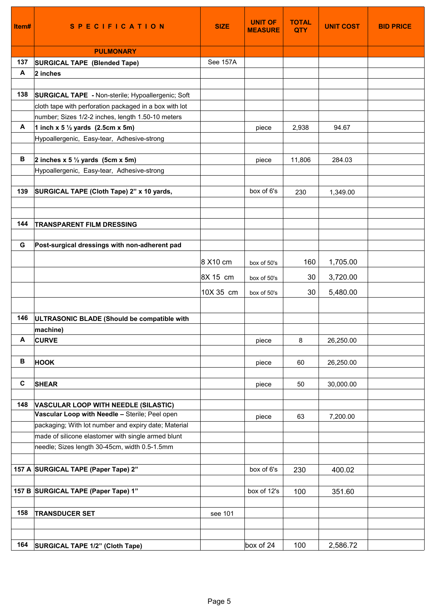| Item# | <b>SPECIFICATION</b>                                   | <b>SIZE</b> | <b>UNIT OF</b><br><b>MEASURE</b> | <b>TOTAL</b><br><b>QTY</b> | <b>UNIT COST</b> | <b>BID PRICE</b> |
|-------|--------------------------------------------------------|-------------|----------------------------------|----------------------------|------------------|------------------|
|       | <b>PULMONARY</b>                                       |             |                                  |                            |                  |                  |
| 137   | SURGICAL TAPE (Blended Tape)                           | See 157A    |                                  |                            |                  |                  |
| A     | 2 inches                                               |             |                                  |                            |                  |                  |
|       |                                                        |             |                                  |                            |                  |                  |
| 138   | SURGICAL TAPE - Non-sterile; Hypoallergenic; Soft      |             |                                  |                            |                  |                  |
|       | cloth tape with perforation packaged in a box with lot |             |                                  |                            |                  |                  |
|       | number; Sizes 1/2-2 inches, length 1.50-10 meters      |             |                                  |                            |                  |                  |
| A     | 1 inch x 5 $\frac{1}{2}$ yards (2.5cm x 5m)            |             | piece                            | 2,938                      | 94.67            |                  |
|       | Hypoallergenic, Easy-tear, Adhesive-strong             |             |                                  |                            |                  |                  |
|       |                                                        |             |                                  |                            |                  |                  |
| В     | 2 inches $x 5 \frac{1}{2}$ yards (5cm $x 5m$ )         |             | piece                            | 11,806                     | 284.03           |                  |
|       | Hypoallergenic, Easy-tear, Adhesive-strong             |             |                                  |                            |                  |                  |
| 139   | SURGICAL TAPE (Cloth Tape) 2" x 10 yards,              |             | box of 6's                       | 230                        | 1,349.00         |                  |
|       |                                                        |             |                                  |                            |                  |                  |
|       |                                                        |             |                                  |                            |                  |                  |
| 144   | <b>TRANSPARENT FILM DRESSING</b>                       |             |                                  |                            |                  |                  |
|       |                                                        |             |                                  |                            |                  |                  |
| G     | Post-surgical dressings with non-adherent pad          |             |                                  |                            |                  |                  |
|       |                                                        | 8 X10 cm    | box of 50's                      | 160                        | 1,705.00         |                  |
|       |                                                        |             |                                  |                            |                  |                  |
|       |                                                        | 8X 15 cm    | box of 50's                      | 30                         | 3,720.00         |                  |
|       |                                                        | 10X 35 cm   | box of 50's                      | 30                         | 5,480.00         |                  |
|       |                                                        |             |                                  |                            |                  |                  |
| 146   | ULTRASONIC BLADE (Should be compatible with            |             |                                  |                            |                  |                  |
|       | machine)                                               |             |                                  |                            |                  |                  |
| A     | <b>CURVE</b>                                           |             | piece                            | 8                          | 26,250.00        |                  |
|       |                                                        |             |                                  |                            |                  |                  |
| В     | <b>HOOK</b>                                            |             | piece                            | 60                         | 26,250.00        |                  |
|       |                                                        |             |                                  |                            |                  |                  |
| C     | <b>SHEAR</b>                                           |             | piece                            | 50                         | 30,000.00        |                  |
| 148   | <b>VASCULAR LOOP WITH NEEDLE (SILASTIC)</b>            |             |                                  |                            |                  |                  |
|       | Vascular Loop with Needle - Sterile; Peel open         |             | piece                            | 63                         | 7,200.00         |                  |
|       | packaging; With lot number and expiry date; Material   |             |                                  |                            |                  |                  |
|       | made of silicone elastomer with single armed blunt     |             |                                  |                            |                  |                  |
|       | needle; Sizes length 30-45cm, width 0.5-1.5mm          |             |                                  |                            |                  |                  |
|       |                                                        |             |                                  |                            |                  |                  |
|       | 157 A SURGICAL TAPE (Paper Tape) 2"                    |             | box of 6's                       | 230                        | 400.02           |                  |
|       |                                                        |             |                                  |                            |                  |                  |
|       | 157 B SURGICAL TAPE (Paper Tape) 1"                    |             | box of 12's                      | 100                        | 351.60           |                  |
|       |                                                        |             |                                  |                            |                  |                  |
| 158   | <b>TRANSDUCER SET</b>                                  | see 101     |                                  |                            |                  |                  |
|       |                                                        |             |                                  |                            |                  |                  |
|       |                                                        |             |                                  |                            |                  |                  |
| 164   | SURGICAL TAPE 1/2" (Cloth Tape)                        |             | box of 24                        | 100                        | 2,586.72         |                  |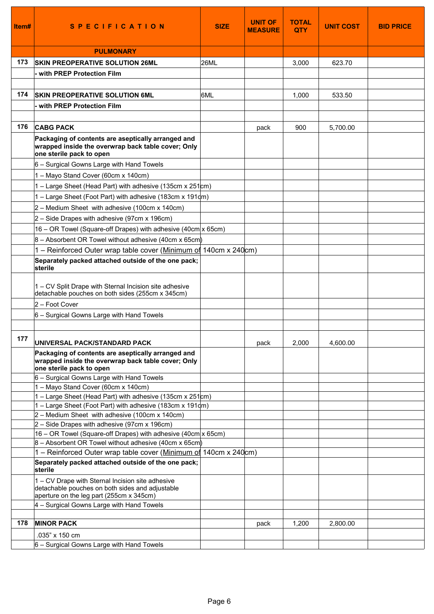| ltem# | <b>SPECIFICATION</b>                                                                                                                            | <b>SIZE</b> | <b>UNIT OF</b><br><b>MEASURE</b> | <b>TOTAL</b><br><b>QTY</b> | <b>UNIT COST</b> | <b>BID PRICE</b> |
|-------|-------------------------------------------------------------------------------------------------------------------------------------------------|-------------|----------------------------------|----------------------------|------------------|------------------|
|       | <b>PULMONARY</b>                                                                                                                                |             |                                  |                            |                  |                  |
| 173   | <b>SKIN PREOPERATIVE SOLUTION 26ML</b>                                                                                                          | <b>26ML</b> |                                  | 3,000                      | 623.70           |                  |
|       | - with PREP Protection Film                                                                                                                     |             |                                  |                            |                  |                  |
|       |                                                                                                                                                 |             |                                  |                            |                  |                  |
| 174   | <b>SKIN PREOPERATIVE SOLUTION 6ML</b>                                                                                                           | 6ML         |                                  | 1,000                      | 533.50           |                  |
|       | - with PREP Protection Film                                                                                                                     |             |                                  |                            |                  |                  |
|       |                                                                                                                                                 |             |                                  |                            |                  |                  |
| 176   | <b>CABG PACK</b>                                                                                                                                |             | pack                             | 900                        | 5,700.00         |                  |
|       | Packaging of contents are aseptically arranged and                                                                                              |             |                                  |                            |                  |                  |
|       | wrapped inside the overwrap back table cover; Only<br>one sterile pack to open                                                                  |             |                                  |                            |                  |                  |
|       | 6 - Surgical Gowns Large with Hand Towels                                                                                                       |             |                                  |                            |                  |                  |
|       | 1 - Mayo Stand Cover (60cm x 140cm)                                                                                                             |             |                                  |                            |                  |                  |
|       | $1$ – Large Sheet (Head Part) with adhesive (135cm x 251cm)                                                                                     |             |                                  |                            |                  |                  |
|       | $1 -$ Large Sheet (Foot Part) with adhesive (183cm x 191 $dm$ )                                                                                 |             |                                  |                            |                  |                  |
|       | $2 -$ Medium Sheet with adhesive (100cm x 140cm)                                                                                                |             |                                  |                            |                  |                  |
|       | $2 -$ Side Drapes with adhesive (97cm x 196cm)                                                                                                  |             |                                  |                            |                  |                  |
|       | $16$ – OR Towel (Square-off Drapes) with adhesive (40cm $x$ 65cm)                                                                               |             |                                  |                            |                  |                  |
|       | $ 8 -$ Absorbent OR Towel without adhesive (40cm x 65cm)                                                                                        |             |                                  |                            |                  |                  |
|       | 1 – Reinforced Outer wrap table cover (Minimum of 140cm x 240cm)                                                                                |             |                                  |                            |                  |                  |
|       | Separately packed attached outside of the one pack;<br>sterile                                                                                  |             |                                  |                            |                  |                  |
|       | 1 – CV Split Drape with Sternal Incision site adhesive<br>detachable pouches on both sides (255cm x 345cm)                                      |             |                                  |                            |                  |                  |
|       | 2 - Foot Cover                                                                                                                                  |             |                                  |                            |                  |                  |
|       | 6 - Surgical Gowns Large with Hand Towels                                                                                                       |             |                                  |                            |                  |                  |
|       |                                                                                                                                                 |             |                                  |                            |                  |                  |
| 177   | UNIVERSAL PACK/STANDARD PACK                                                                                                                    |             | pack                             | 2.000                      | 4,600.00         |                  |
|       | Packaging of contents are aseptically arranged and<br>wrapped inside the overwrap back table cover; Only<br>one sterile pack to open            |             |                                  |                            |                  |                  |
|       | 6 - Surgical Gowns Large with Hand Towels                                                                                                       |             |                                  |                            |                  |                  |
|       | 1 - Mayo Stand Cover (60cm x 140cm)                                                                                                             |             |                                  |                            |                  |                  |
|       | 1 – Large Sheet (Head Part) with adhesive (135cm x 251cm)<br>1 – Large Sheet (Foot Part) with adhesive (183cm x 191dm)                          |             |                                  |                            |                  |                  |
|       | $2 -$ Medium Sheet with adhesive (100cm x 140cm)                                                                                                |             |                                  |                            |                  |                  |
|       | $2 -$ Side Drapes with adhesive (97cm x 196cm)                                                                                                  |             |                                  |                            |                  |                  |
|       | 16 – OR Towel (Square-off Drapes) with adhesive (40cm $x$ 65cm)                                                                                 |             |                                  |                            |                  |                  |
|       | $8 -$ Absorbent OR Towel without adhesive (40cm x 65cm)                                                                                         |             |                                  |                            |                  |                  |
|       | 1 – Reinforced Outer wrap table cover (Minimum of 140cm x 240cm)                                                                                |             |                                  |                            |                  |                  |
|       | Separately packed attached outside of the one pack;<br>sterile                                                                                  |             |                                  |                            |                  |                  |
|       | 1 – CV Drape with Sternal Incision site adhesive<br>detachable pouches on both sides and adjustable<br>aperture on the leg part (255cm x 345cm) |             |                                  |                            |                  |                  |
|       | 4 - Surgical Gowns Large with Hand Towels                                                                                                       |             |                                  |                            |                  |                  |
|       |                                                                                                                                                 |             |                                  |                            |                  |                  |
| 178   | <b>MINOR PACK</b>                                                                                                                               |             | pack                             | 1,200                      | 2,800.00         |                  |
|       | .035" x 150 cm                                                                                                                                  |             |                                  |                            |                  |                  |
|       | 6 - Surgical Gowns Large with Hand Towels                                                                                                       |             |                                  |                            |                  |                  |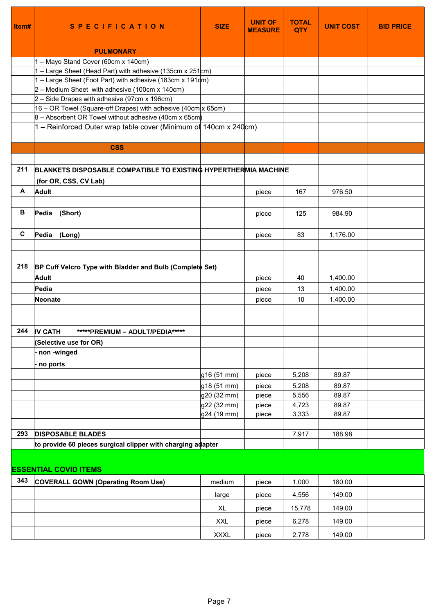| Item#        | <b>SPECIFICATION</b>                                                 | <b>SIZE</b>                | <b>UNIT OF</b><br><b>MEASURE</b> | <b>TOTAL</b><br><b>QTY</b> | <b>UNIT COST</b> | <b>BID PRICE</b> |
|--------------|----------------------------------------------------------------------|----------------------------|----------------------------------|----------------------------|------------------|------------------|
|              |                                                                      |                            |                                  |                            |                  |                  |
|              | <b>PULMONARY</b>                                                     |                            |                                  |                            |                  |                  |
|              | 1 - Mayo Stand Cover (60cm x 140cm)                                  |                            |                                  |                            |                  |                  |
|              | 1 – Large Sheet (Head Part) with adhesive (135cm x 251 $\text{cm}$ ) |                            |                                  |                            |                  |                  |
|              | 1 – Large Sheet (Foot Part) with adhesive (183cm x 191qm)            |                            |                                  |                            |                  |                  |
|              | $2 -$ Medium Sheet with adhesive (100cm x 140cm)                     |                            |                                  |                            |                  |                  |
|              | $2 -$ Side Drapes with adhesive (97cm x 196cm)                       |                            |                                  |                            |                  |                  |
|              | 16 – OR Towel (Square-off Drapes) with adhesive (40cm $x$ 65cm)      |                            |                                  |                            |                  |                  |
|              | $8 -$ Absorbent OR Towel without adhesive (40cm x 65cm)              |                            |                                  |                            |                  |                  |
|              | 1 – Reinforced Outer wrap table cover (Minimum of 140cm x 240cm)     |                            |                                  |                            |                  |                  |
|              |                                                                      |                            |                                  |                            |                  |                  |
|              | <b>CSS</b>                                                           |                            |                                  |                            |                  |                  |
|              |                                                                      |                            |                                  |                            |                  |                  |
| 211          | BLANKETS DISPOSABLE COMPATIBLE TO EXISTING HYPERTHERMIA MACHINE      |                            |                                  |                            |                  |                  |
|              | (for OR, CSS, CV Lab)                                                |                            |                                  |                            |                  |                  |
| A            | <b>Adult</b>                                                         |                            | piece                            | 167                        | 976.50           |                  |
|              |                                                                      |                            |                                  |                            |                  |                  |
| В            | Pedia<br>(Short)                                                     |                            | piece                            | 125                        | 984.90           |                  |
|              |                                                                      |                            |                                  |                            |                  |                  |
| $\mathbf{C}$ | Pedia (Long)                                                         |                            | piece                            | 83                         | 1,176.00         |                  |
|              |                                                                      |                            |                                  |                            |                  |                  |
|              |                                                                      |                            |                                  |                            |                  |                  |
| 218          | BP Cuff Velcro Type with Bladder and Bulb (Complete Set)             |                            |                                  |                            |                  |                  |
|              | <b>Adult</b>                                                         |                            | piece                            | 40                         | 1,400.00         |                  |
|              | Pedia                                                                |                            | piece                            | 13                         | 1,400.00         |                  |
|              | <b>Neonate</b>                                                       |                            | piece                            | 10                         | 1,400.00         |                  |
|              |                                                                      |                            |                                  |                            |                  |                  |
|              |                                                                      |                            |                                  |                            |                  |                  |
| 244          | <b>IV CATH</b><br>*****PREMIUM - ADULT/PEDIA*****                    |                            |                                  |                            |                  |                  |
|              | (Selective use for OR)                                               |                            |                                  |                            |                  |                  |
|              | non-winged                                                           |                            |                                  |                            |                  |                  |
|              |                                                                      |                            |                                  |                            |                  |                  |
|              | no ports                                                             |                            |                                  |                            |                  |                  |
|              |                                                                      | g16 (51 mm)                | piece                            | 5,208                      | 89.87            |                  |
|              |                                                                      | g18 (51 mm)                | piece                            | 5,208                      | 89.87            |                  |
|              |                                                                      | g20 (32 mm)                | piece                            | 5,556                      | 89.87<br>89.87   |                  |
|              |                                                                      | g22 (32 mm)<br>g24 (19 mm) | piece<br>piece                   | 4,723<br>3,333             | 89.87            |                  |
|              |                                                                      |                            |                                  |                            |                  |                  |
| 293          | <b>DISPOSABLE BLADES</b>                                             |                            |                                  | 7,917                      | 188.98           |                  |
|              | to provide 60 pieces surgical clipper with charging adapter          |                            |                                  |                            |                  |                  |
|              |                                                                      |                            |                                  |                            |                  |                  |
|              |                                                                      |                            |                                  |                            |                  |                  |
|              | <b>ESSENTIAL COVID ITEMS</b>                                         |                            |                                  |                            |                  |                  |
| 343          | <b>COVERALL GOWN (Operating Room Use)</b>                            | medium                     | piece                            | 1,000                      | 180.00           |                  |
|              |                                                                      | large                      | piece                            | 4,556                      | 149.00           |                  |
|              |                                                                      | XL                         | piece                            | 15,778                     | 149.00           |                  |
|              |                                                                      |                            |                                  |                            |                  |                  |
|              |                                                                      | <b>XXL</b>                 | piece                            | 6,278                      | 149.00           |                  |
|              |                                                                      | <b>XXXL</b>                | piece                            | 2,778                      | 149.00           |                  |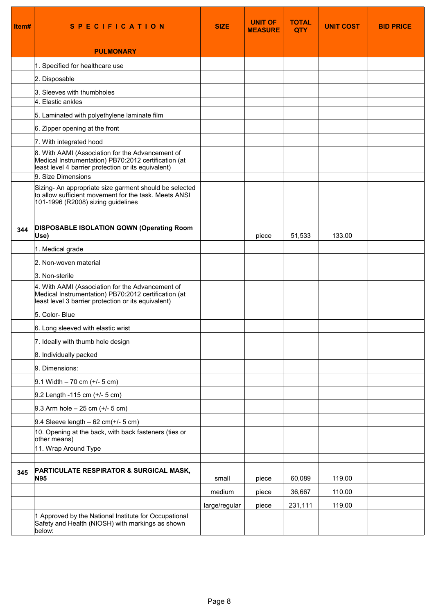| Item# | <b>SPECIFICATION</b>                                                                                                                                            | <b>SIZE</b>   | UNIT OF<br><b>MEASURE</b> | <b>TOTAL</b><br><b>QTY</b> | <b>UNIT COST</b> | <b>BID PRICE</b> |
|-------|-----------------------------------------------------------------------------------------------------------------------------------------------------------------|---------------|---------------------------|----------------------------|------------------|------------------|
|       | <b>PULMONARY</b>                                                                                                                                                |               |                           |                            |                  |                  |
|       | 1. Specified for healthcare use                                                                                                                                 |               |                           |                            |                  |                  |
|       | 2. Disposable                                                                                                                                                   |               |                           |                            |                  |                  |
|       | 3. Sleeves with thumbholes<br>4. Elastic ankles                                                                                                                 |               |                           |                            |                  |                  |
|       | 5. Laminated with polyethylene laminate film                                                                                                                    |               |                           |                            |                  |                  |
|       | 6. Zipper opening at the front                                                                                                                                  |               |                           |                            |                  |                  |
|       | 7. With integrated hood                                                                                                                                         |               |                           |                            |                  |                  |
|       | 8. With AAMI (Association for the Advancement of<br>Medical Instrumentation) PB70:2012 certification (at<br>least level 4 barrier protection or its equivalent) |               |                           |                            |                  |                  |
|       | 9. Size Dimensions                                                                                                                                              |               |                           |                            |                  |                  |
|       | Sizing- An appropriate size garment should be selected<br>to allow sufficient movement for the task. Meets ANSI<br>101-1996 (R2008) sizing guidelines           |               |                           |                            |                  |                  |
| 344   | <b>DISPOSABLE ISOLATION GOWN (Operating Room</b><br>Use)                                                                                                        |               | piece                     | 51,533                     | 133.00           |                  |
|       | 1. Medical grade                                                                                                                                                |               |                           |                            |                  |                  |
|       | 2. Non-woven material                                                                                                                                           |               |                           |                            |                  |                  |
|       | 3. Non-sterile                                                                                                                                                  |               |                           |                            |                  |                  |
|       | 4. With AAMI (Association for the Advancement of<br>Medical Instrumentation) PB70:2012 certification (at<br>least level 3 barrier protection or its equivalent) |               |                           |                            |                  |                  |
|       | 5. Color-Blue                                                                                                                                                   |               |                           |                            |                  |                  |
|       | 6. Long sleeved with elastic wrist                                                                                                                              |               |                           |                            |                  |                  |
|       | 7. Ideally with thumb hole design                                                                                                                               |               |                           |                            |                  |                  |
|       | 8. Individually packed                                                                                                                                          |               |                           |                            |                  |                  |
|       | 9. Dimensions:                                                                                                                                                  |               |                           |                            |                  |                  |
|       | $9.1$ Width $-70$ cm (+/- 5 cm)                                                                                                                                 |               |                           |                            |                  |                  |
|       | 9.2 Length -115 cm (+/- 5 cm)                                                                                                                                   |               |                           |                            |                  |                  |
|       | 9.3 Arm hole $-25$ cm (+/- 5 cm)                                                                                                                                |               |                           |                            |                  |                  |
|       | 9.4 Sleeve length $-62$ cm( $+/-$ 5 cm)                                                                                                                         |               |                           |                            |                  |                  |
|       | 10. Opening at the back, with back fasteners (ties or<br>other means)                                                                                           |               |                           |                            |                  |                  |
|       | 11. Wrap Around Type                                                                                                                                            |               |                           |                            |                  |                  |
|       |                                                                                                                                                                 |               |                           |                            |                  |                  |
| 345   | <b>PARTICULATE RESPIRATOR &amp; SURGICAL MASK,</b><br><b>N95</b>                                                                                                | small         | piece                     | 60,089                     | 119.00           |                  |
|       |                                                                                                                                                                 | medium        | piece                     | 36,667                     | 110.00           |                  |
|       |                                                                                                                                                                 | large/regular | piece                     | 231,111                    | 119.00           |                  |
|       | 1 Approved by the National Institute for Occupational<br>Safety and Health (NIOSH) with markings as shown<br>below:                                             |               |                           |                            |                  |                  |

т

т

т

 $\mathbf{r}$ 

т

٦